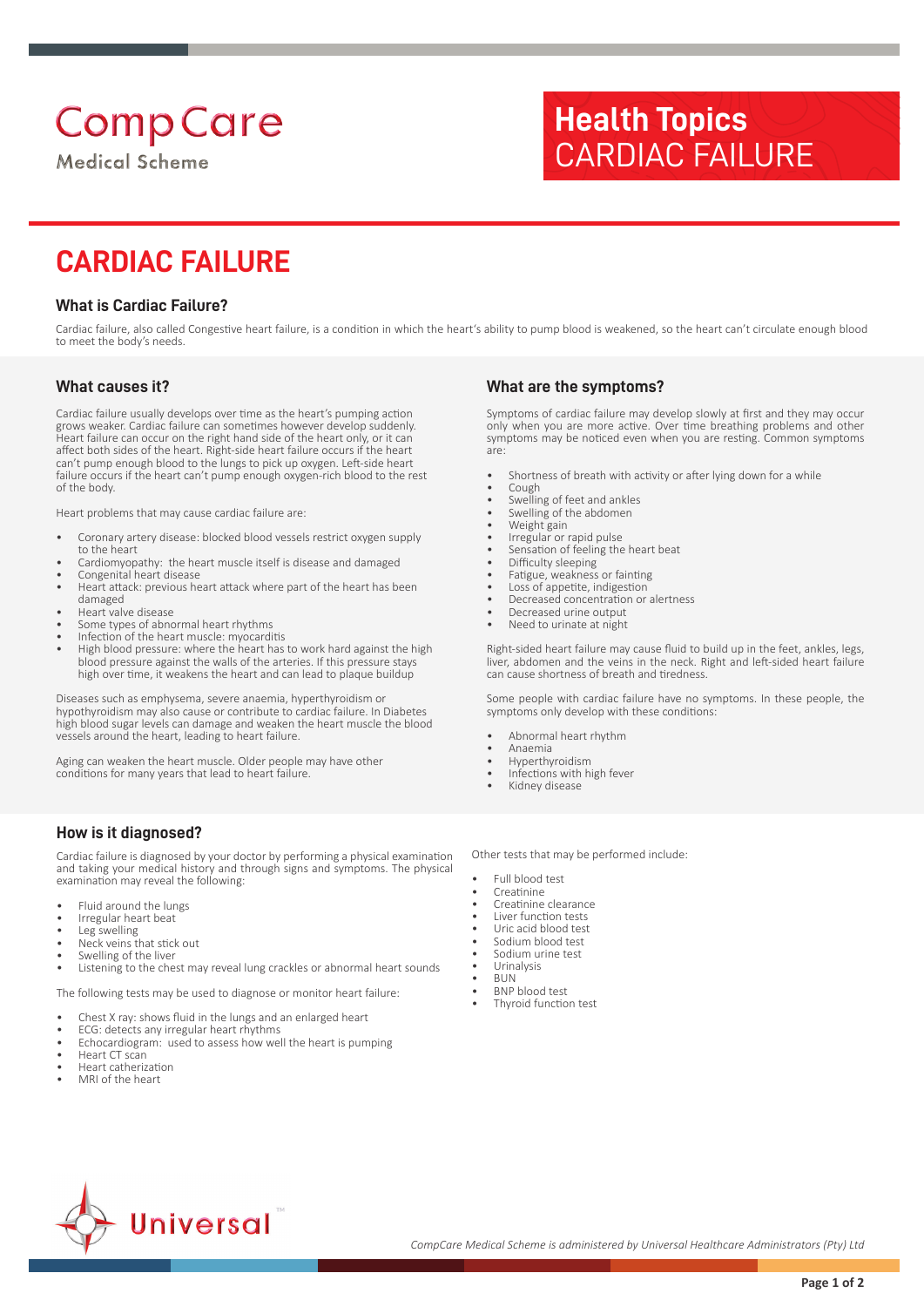# **Comp Care**

**Medical Scheme** 

# **Health Topics** CARDIAC FAILURE

## **CARDIAC FAILURE**

#### **What is Cardiac Failure?**

Cardiac failure, also called Congestive heart failure, is a condition in which the heart's ability to pump blood is weakened, so the heart can't circulate enough blood to meet the body's needs.

#### **What causes it?**

Cardiac failure usually develops over time as the heart's pumping action grows weaker. Cardiac failure can sometimes however develop suddenly. Heart failure can occur on the right hand side of the heart only, or it can affect both sides of the heart. Right-side heart failure occurs if the heart can't pump enough blood to the lungs to pick up oxygen. Left-side heart failure occurs if the heart can't pump enough oxygen-rich blood to the rest of the body.

Heart problems that may cause cardiac failure are:

- Coronary artery disease: blocked blood vessels restrict oxygen supply to the heart
- Cardiomyopathy: the heart muscle itself is disease and damaged
- Congenital heart disease
- Heart attack: previous heart attack where part of the heart has been damaged
- Heart valve disease
- Some types of abnormal heart rhythms
- Infection of the heart muscle: myocarditis
- High blood pressure: where the heart has to work hard against the high blood pressure against the walls of the arteries. If this pressure stays high over time, it weakens the heart and can lead to plaque buildup

Diseases such as emphysema, severe anaemia, hyperthyroidism or hypothyroidism may also cause or contribute to cardiac failure. In Diabetes high blood sugar levels can damage and weaken the heart muscle the blood vessels around the heart, leading to heart failure.

Aging can weaken the heart muscle. Older people may have other conditions for many years that lead to heart failure.

#### **How is it diagnosed?**

Cardiac failure is diagnosed by your doctor by performing a physical examination and taking your medical history and through signs and symptoms. The physical examination may reveal the following:

- Fluid around the lungs
- Irregular heart beat
- Leg swelling
- Neck veins that stick out
- Swelling of the liver • Listening to the chest may reveal lung crackles or abnormal heart sounds
- 

The following tests may be used to diagnose or monitor heart failure:

- Chest X ray: shows fluid in the lungs and an enlarged heart
- ECG: detects any irregular heart rhythms Echocardiogram: used to assess how well the heart is pumping
- Heart CT scan
- Heart catherization
- 
- MRI of the heart

### **What are the symptoms?**

Symptoms of cardiac failure may develop slowly at first and they may occur only when you are more active. Over time breathing problems and other symptoms may be noticed even when you are resting. Common symptoms are:

- Shortness of breath with activity or after lying down for a while
- Cough
- Swelling of feet and ankles Swelling of the abdomen
- 
- Weight gain Irregular or rapid pulse
- Sensation of feeling the heart beat
- Difficulty sleeping
- Fatigue, weakness or fainting
- Loss of appetite, indigestion
- Decreased concentration or alertness
- Decreased urine output
- Need to urinate at night

Right-sided heart failure may cause fluid to build up in the feet, ankles, legs, liver, abdomen and the veins in the neck. Right and left-sided heart failure can cause shortness of breath and tiredness.

Some people with cardiac failure have no symptoms. In these people, the symptoms only develop with these conditions:

- Abnormal heart rhythm
- Anaemia
- Hyperthyroidism
- Infections with high fever
- Kidney disease

Other tests that may be performed include:

- Full blood test
- **Creatinine**
- Creatinine clearance
- Liver function tests
- Uric acid blood test Sodium blood test
- Sodium urine test
- Urinalysis
- BUN
- BNP blood test
- Thyroid function test